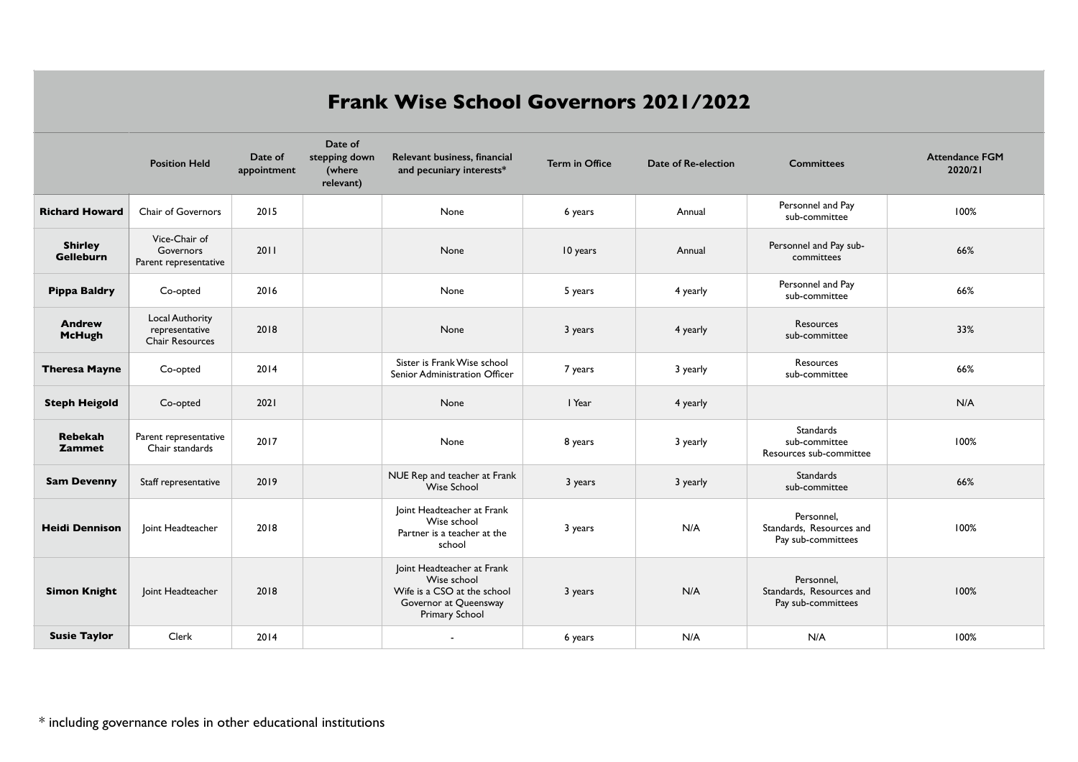## **Frank Wise School Governors 2021/2022**

|                                    | <b>Position Held</b>                                        | Date of<br>appointment | Date of<br>stepping down<br>(where<br>relevant) | Relevant business, financial<br>and pecuniary interests*                                                                   | <b>Term in Office</b> | Date of Re-election | <b>Committees</b>                                            | <b>Attendance FGM</b><br>2020/21 |
|------------------------------------|-------------------------------------------------------------|------------------------|-------------------------------------------------|----------------------------------------------------------------------------------------------------------------------------|-----------------------|---------------------|--------------------------------------------------------------|----------------------------------|
| <b>Richard Howard</b>              | Chair of Governors                                          | 2015                   |                                                 | None                                                                                                                       | 6 years               | Annual              | Personnel and Pay<br>sub-committee                           | 100%                             |
| <b>Shirley</b><br><b>Gelleburn</b> | Vice-Chair of<br>Governors<br>Parent representative         | 2011                   |                                                 | None                                                                                                                       | 10 years              | Annual              | Personnel and Pay sub-<br>committees                         | 66%                              |
| <b>Pippa Baldry</b>                | Co-opted                                                    | 2016                   |                                                 | None                                                                                                                       | 5 years               | 4 yearly            | Personnel and Pay<br>sub-committee                           | 66%                              |
| <b>Andrew</b><br><b>McHugh</b>     | Local Authority<br>representative<br><b>Chair Resources</b> | 2018                   |                                                 | None                                                                                                                       | 3 years               | 4 yearly            | <b>Resources</b><br>sub-committee                            | 33%                              |
| <b>Theresa Mayne</b>               | Co-opted                                                    | 2014                   |                                                 | Sister is Frank Wise school<br>Senior Administration Officer                                                               | 7 years               | 3 yearly            | Resources<br>sub-committee                                   | 66%                              |
| <b>Steph Heigold</b>               | Co-opted                                                    | 2021                   |                                                 | None                                                                                                                       | I Year                | 4 yearly            |                                                              | N/A                              |
| Rebekah<br><b>Zammet</b>           | Parent representative<br>Chair standards                    | 2017                   |                                                 | None                                                                                                                       | 8 years               | 3 yearly            | Standards<br>sub-committee<br>Resources sub-committee        | 100%                             |
| <b>Sam Devenny</b>                 | Staff representative                                        | 2019                   |                                                 | NUE Rep and teacher at Frank<br><b>Wise School</b>                                                                         | 3 years               | 3 yearly            | Standards<br>sub-committee                                   | 66%                              |
| <b>Heidi Dennison</b>              | Joint Headteacher                                           | 2018                   |                                                 | Joint Headteacher at Frank<br>Wise school<br>Partner is a teacher at the<br>school                                         | 3 years               | N/A                 | Personnel,<br>Standards, Resources and<br>Pay sub-committees | 100%                             |
| <b>Simon Knight</b>                | Joint Headteacher                                           | 2018                   |                                                 | Joint Headteacher at Frank<br>Wise school<br>Wife is a CSO at the school<br>Governor at Queensway<br><b>Primary School</b> | 3 years               | N/A                 | Personnel.<br>Standards, Resources and<br>Pay sub-committees | 100%                             |
| <b>Susie Taylor</b>                | Clerk                                                       | 2014                   |                                                 | $\blacksquare$                                                                                                             | 6 years               | N/A                 | N/A                                                          | 100%                             |